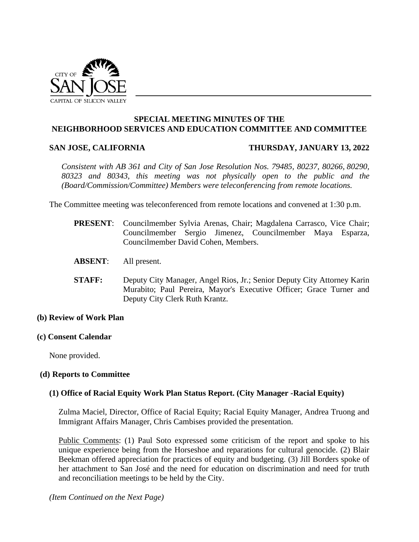

## **SPECIAL MEETING MINUTES OF THE NEIGHBORHOOD SERVICES AND EDUCATION COMMITTEE AND COMMITTEE**

#### **SAN JOSE, CALIFORNIA THURSDAY, JANUARY 13, 2022**

*Consistent with AB 361 and City of San Jose Resolution Nos. 79485, 80237, 80266, 80290, 80323 and 80343, this meeting was not physically open to the public and the (Board/Commission/Committee) Members were teleconferencing from remote locations.*

The Committee meeting was teleconferenced from remote locations and convened at 1:30 p.m.

- **PRESENT**: Councilmember Sylvia Arenas, Chair; Magdalena Carrasco, Vice Chair; Councilmember Sergio Jimenez, Councilmember Maya Esparza, Councilmember David Cohen, Members.
- **ABSENT**: All present.
- **STAFF:** Deputy City Manager, Angel Rios, Jr.; Senior Deputy City Attorney Karin Murabito; Paul Pereira, Mayor's Executive Officer; Grace Turner and Deputy City Clerk Ruth Krantz.

## **(b) Review of Work Plan**

## **(c) Consent Calendar**

None provided.

## **(d) Reports to Committee**

## **(1) Office of Racial Equity Work Plan Status Report. (City Manager -Racial Equity)**

Zulma Maciel, Director, Office of Racial Equity; Racial Equity Manager, Andrea Truong and Immigrant Affairs Manager, Chris Cambises provided the presentation.

Public Comments: (1) Paul Soto expressed some criticism of the report and spoke to his unique experience being from the Horseshoe and reparations for cultural genocide. (2) Blair Beekman offered appreciation for practices of equity and budgeting. (3) Jill Borders spoke of her attachment to San José and the need for education on discrimination and need for truth and reconciliation meetings to be held by the City.

*(Item Continued on the Next Page)*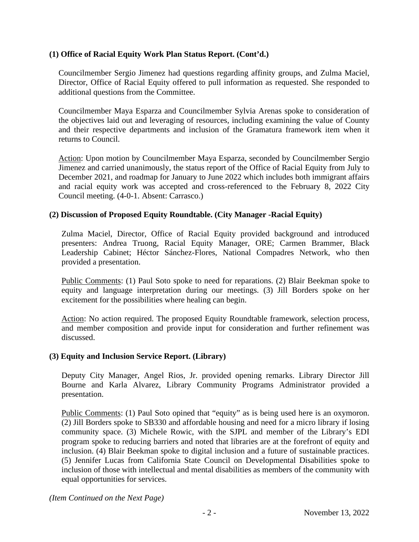# **(1) Office of Racial Equity Work Plan Status Report. (Cont'd.)**

Councilmember Sergio Jimenez had questions regarding affinity groups, and Zulma Maciel, Director, Office of Racial Equity offered to pull information as requested. She responded to additional questions from the Committee.

Councilmember Maya Esparza and Councilmember Sylvia Arenas spoke to consideration of the objectives laid out and leveraging of resources, including examining the value of County and their respective departments and inclusion of the Gramatura framework item when it returns to Council.

Action: Upon motion by Councilmember Maya Esparza, seconded by Councilmember Sergio Jimenez and carried unanimously, the status report of the Office of Racial Equity from July to December 2021, and roadmap for January to June 2022 which includes both immigrant affairs and racial equity work was accepted and cross-referenced to the February 8, 2022 City Council meeting. (4-0-1. Absent: Carrasco.)

# **(2) Discussion of Proposed Equity Roundtable. (City Manager -Racial Equity)**

Zulma Maciel, Director, Office of Racial Equity provided background and introduced presenters: Andrea Truong, Racial Equity Manager, ORE; Carmen Brammer, Black Leadership Cabinet; Héctor Sánchez-Flores, National Compadres Network, who then provided a presentation.

Public Comments: (1) Paul Soto spoke to need for reparations. (2) Blair Beekman spoke to equity and language interpretation during our meetings. (3) Jill Borders spoke on her excitement for the possibilities where healing can begin.

Action: No action required. The proposed Equity Roundtable framework, selection process, and member composition and provide input for consideration and further refinement was discussed.

## **(3) Equity and Inclusion Service Report. (Library)**

Deputy City Manager, Angel Rios, Jr. provided opening remarks. Library Director Jill Bourne and Karla Alvarez, Library Community Programs Administrator provided a presentation.

Public Comments: (1) Paul Soto opined that "equity" as is being used here is an oxymoron. (2) Jill Borders spoke to SB330 and affordable housing and need for a micro library if losing community space. (3) Michele Rowic, with the SJPL and member of the Library's EDI program spoke to reducing barriers and noted that libraries are at the forefront of equity and inclusion. (4) Blair Beekman spoke to digital inclusion and a future of sustainable practices. (5) Jennifer Lucas from California State Council on Developmental Disabilities spoke to inclusion of those with intellectual and mental disabilities as members of the community with equal opportunities for services.